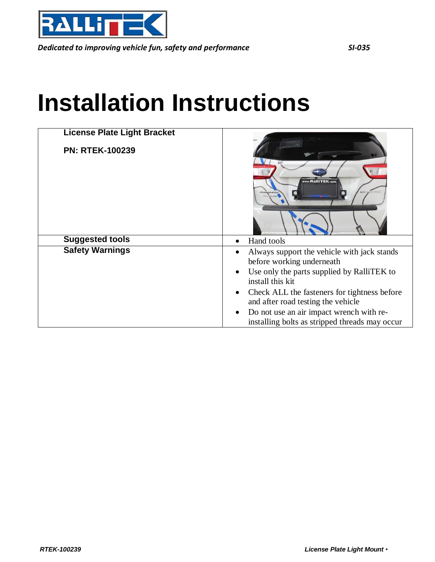

*Dedicated to improving vehicle fun, safety and performance SI-035*

## **Installation Instructions**

| <b>License Plate Light Bracket</b> |                                                                                                                                                                                                                                                                                                                                                                       |
|------------------------------------|-----------------------------------------------------------------------------------------------------------------------------------------------------------------------------------------------------------------------------------------------------------------------------------------------------------------------------------------------------------------------|
| <b>PN: RTEK-100239</b>             | www.RalliTEK.com<br><b>SEARCH FEE</b>                                                                                                                                                                                                                                                                                                                                 |
| <b>Suggested tools</b>             | Hand tools<br>$\bullet$                                                                                                                                                                                                                                                                                                                                               |
| <b>Safety Warnings</b>             | Always support the vehicle with jack stands<br>$\bullet$<br>before working underneath<br>Use only the parts supplied by RalliTEK to<br>$\bullet$<br>install this kit<br>Check ALL the fasteners for tightness before<br>$\bullet$<br>and after road testing the vehicle<br>Do not use an air impact wrench with re-<br>installing bolts as stripped threads may occur |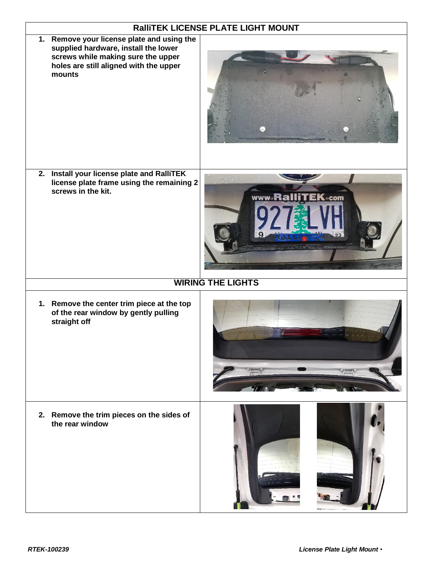|                                                                                                                                                                              | RalliTEK LICENSE PLATE LIGHT MOUNT |  |
|------------------------------------------------------------------------------------------------------------------------------------------------------------------------------|------------------------------------|--|
| 1. Remove your license plate and using the<br>supplied hardware, install the lower<br>screws while making sure the upper<br>holes are still aligned with the upper<br>mounts |                                    |  |
| 2. Install your license plate and RalliTEK<br>license plate frame using the remaining 2<br>screws in the kit.                                                                | <b>www.RalliTEK.com</b>            |  |
| <b>WIRING THE LIGHTS</b>                                                                                                                                                     |                                    |  |
| 1. Remove the center trim piece at the top<br>of the rear window by gently pulling<br>straight off                                                                           |                                    |  |
| 2. Remove the trim pieces on the sides of<br>the rear window                                                                                                                 |                                    |  |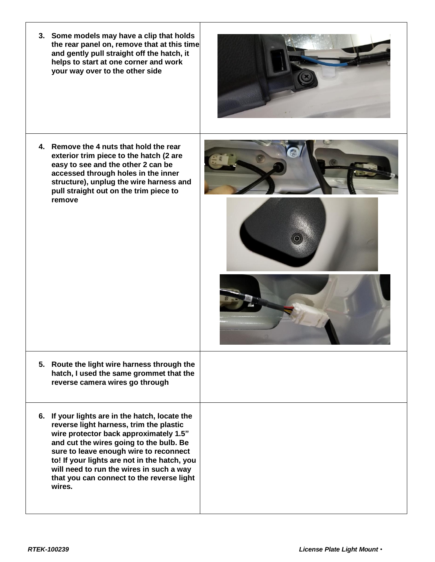| 3. Some models may have a clip that holds<br>the rear panel on, remove that at this time<br>and gently pull straight off the hatch, it<br>helps to start at one corner and work<br>your way over to the other side                                                                                                                                                          |  |
|-----------------------------------------------------------------------------------------------------------------------------------------------------------------------------------------------------------------------------------------------------------------------------------------------------------------------------------------------------------------------------|--|
| 4. Remove the 4 nuts that hold the rear<br>exterior trim piece to the hatch (2 are<br>easy to see and the other 2 can be<br>accessed through holes in the inner<br>structure), unplug the wire harness and<br>pull straight out on the trim piece to<br>remove                                                                                                              |  |
| 5. Route the light wire harness through the<br>hatch, I used the same grommet that the<br>reverse camera wires go through                                                                                                                                                                                                                                                   |  |
| 6. If your lights are in the hatch, locate the<br>reverse light harness, trim the plastic<br>wire protector back approximately 1.5"<br>and cut the wires going to the bulb. Be<br>sure to leave enough wire to reconnect<br>to! If your lights are not in the hatch, you<br>will need to run the wires in such a way<br>that you can connect to the reverse light<br>wires. |  |